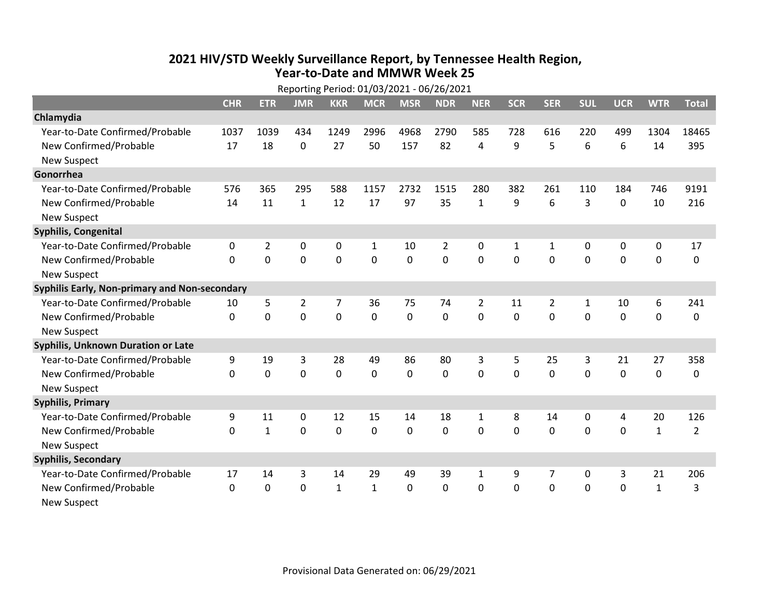## 2021 HIV/STD Weekly Surveillance Report, by Tennessee Health Region, Year-to-Date and MMWR Week 25

| Reporting Period: 01/03/2021 - 06/26/2021     |            |                |                |                |              |              |                |                |                |                |                |             |              |                |
|-----------------------------------------------|------------|----------------|----------------|----------------|--------------|--------------|----------------|----------------|----------------|----------------|----------------|-------------|--------------|----------------|
|                                               | <b>CHR</b> | <b>ETR</b>     | <b>JMR</b>     | <b>KKR</b>     | <b>MCR</b>   | <b>MSR</b>   | <b>NDR</b>     | <b>NER</b>     | <b>SCR</b>     | <b>SER</b>     | <b>SUL</b>     | <b>UCR</b>  | <b>WTR</b>   | <b>Total</b>   |
| Chlamydia                                     |            |                |                |                |              |              |                |                |                |                |                |             |              |                |
| Year-to-Date Confirmed/Probable               | 1037       | 1039           | 434            | 1249           | 2996         | 4968         | 2790           | 585            | 728            | 616            | 220            | 499         | 1304         | 18465          |
| New Confirmed/Probable                        | 17         | 18             | 0              | 27             | 50           | 157          | 82             | 4              | 9              | 5              | 6              | 6           | 14           | 395            |
| <b>New Suspect</b>                            |            |                |                |                |              |              |                |                |                |                |                |             |              |                |
| Gonorrhea                                     |            |                |                |                |              |              |                |                |                |                |                |             |              |                |
| Year-to-Date Confirmed/Probable               | 576        | 365            | 295            | 588            | 1157         | 2732         | 1515           | 280            | 382            | 261            | 110            | 184         | 746          | 9191           |
| New Confirmed/Probable                        | 14         | 11             | $\mathbf{1}$   | 12             | 17           | 97           | 35             | $\mathbf{1}$   | 9              | 6              | 3              | $\mathbf 0$ | 10           | 216            |
| <b>New Suspect</b>                            |            |                |                |                |              |              |                |                |                |                |                |             |              |                |
| <b>Syphilis, Congenital</b>                   |            |                |                |                |              |              |                |                |                |                |                |             |              |                |
| Year-to-Date Confirmed/Probable               | 0          | $\overline{2}$ | 0              | 0              | $\mathbf{1}$ | 10           | 2              | 0              | 1              | 1              | 0              | 0           | 0            | 17             |
| New Confirmed/Probable                        | 0          | $\mathbf 0$    | 0              | $\mathbf 0$    | 0            | $\mathbf 0$  | $\overline{0}$ | $\mathbf 0$    | $\overline{0}$ | $\mathbf 0$    | $\overline{0}$ | $\mathbf 0$ | $\mathbf 0$  | $\mathbf 0$    |
| <b>New Suspect</b>                            |            |                |                |                |              |              |                |                |                |                |                |             |              |                |
| Syphilis Early, Non-primary and Non-secondary |            |                |                |                |              |              |                |                |                |                |                |             |              |                |
| Year-to-Date Confirmed/Probable               | 10         | 5              | $\overline{2}$ | 7              | 36           | 75           | 74             | $\overline{2}$ | 11             | $\overline{2}$ | 1              | 10          | 6            | 241            |
| New Confirmed/Probable                        | 0          | 0              | 0              | $\overline{0}$ | 0            | $\mathbf 0$  | $\mathbf 0$    | 0              | 0              | 0              | 0              | $\mathbf 0$ | $\mathbf 0$  | $\mathbf 0$    |
| <b>New Suspect</b>                            |            |                |                |                |              |              |                |                |                |                |                |             |              |                |
| <b>Syphilis, Unknown Duration or Late</b>     |            |                |                |                |              |              |                |                |                |                |                |             |              |                |
| Year-to-Date Confirmed/Probable               | 9          | 19             | 3              | 28             | 49           | 86           | 80             | 3              | 5              | 25             | 3              | 21          | 27           | 358            |
| New Confirmed/Probable                        | 0          | $\mathbf 0$    | 0              | $\mathbf 0$    | 0            | 0            | $\mathbf 0$    | 0              | $\Omega$       | $\Omega$       | $\Omega$       | $\Omega$    | 0            | $\mathbf 0$    |
| <b>New Suspect</b>                            |            |                |                |                |              |              |                |                |                |                |                |             |              |                |
| <b>Syphilis, Primary</b>                      |            |                |                |                |              |              |                |                |                |                |                |             |              |                |
| Year-to-Date Confirmed/Probable               | 9          | 11             | 0              | 12             | 15           | 14           | 18             | $\mathbf{1}$   | 8              | 14             | $\mathbf 0$    | 4           | 20           | 126            |
| New Confirmed/Probable                        | 0          | $\mathbf{1}$   | 0              | $\overline{0}$ | 0            | $\mathbf 0$  | $\overline{0}$ | 0              | $\Omega$       | $\Omega$       | 0              | $\mathbf 0$ | $\mathbf{1}$ | $\overline{2}$ |
| <b>New Suspect</b>                            |            |                |                |                |              |              |                |                |                |                |                |             |              |                |
| <b>Syphilis, Secondary</b>                    |            |                |                |                |              |              |                |                |                |                |                |             |              |                |
| Year-to-Date Confirmed/Probable               | 17         | 14             | 3              | 14             | 29           | 49           | 39             | 1              | 9              | 7              | 0              | 3           | 21           | 206            |
| New Confirmed/Probable                        | 0          | $\mathbf{0}$   | 0              | $\mathbf{1}$   | $\mathbf{1}$ | $\mathbf{0}$ | 0              | 0              | 0              | $\Omega$       | 0              | $\mathbf 0$ | $\mathbf{1}$ | 3              |
| <b>New Suspect</b>                            |            |                |                |                |              |              |                |                |                |                |                |             |              |                |